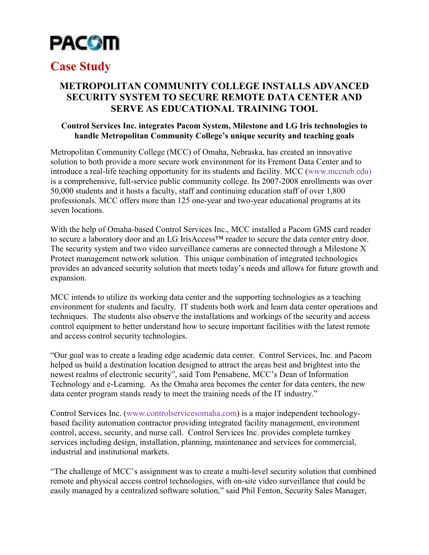

## **Case Study**

## **METROPOLITAN COMMUNITY COLLEGE INSTALLS ADVANCED SECURITY SYSTEM TO SECURE REMOTE DATA CENTER AND SERVE AS EDUCATIONAL TRAINING TOOL**

## **Control Services Inc. integrates Pacom System, Milestone and LG Iris technologies to handle Metropolitan Community College's unique security and teaching goals**

Metropolitan Community College (MCC) of Omaha, Nebraska, has created an innovative solution to both provide a more secure work environment for its Fremont Data Center and to introduce a real-life teaching opportunity for its students and facility. MCC (www.mccneb.edu) is a comprehensive, full-service public community college. Its 2007-2008 enrollments was over 50,000 students and it hosts a faculty, staff and continuing education staff of over 1,800 professionals. MCC offers more than 125 one-year and two-year educational programs at its seven locations.

With the help of Omaha-based Control Services Inc., MCC installed a Pacom GMS card reader to secure a laboratory door and an LG IrisAccess<sup>™</sup> reader to secure the data center entry door. The security system and two video surveillance cameras are connected through a Milestone X Protect management network solution. This unique combination of integrated technologies provides an advanced security solution that meets today's needs and allows for future growth and expansion.

MCC intends to utilize its working data center and the supporting technologies as a teaching environment for students and faculty. IT students both work and learn data center operations and techniques. The students also observe the installations and workings of the security and access control equipment to better understand how to secure important facilities with the latest remote and access control security technologies.

"Our goal was to create a leading edge academic data center. Control Services, Inc. and Pacom helped us build a destination location designed to attract the areas best and brightest into the newest realms of electronic security", said Tom Pensabene, MCC's Dean of Information Technology and e-Learning. As the Omaha area becomes the center for data centers, the new data center program stands ready to meet the training needs of the IT industry."

Control Services Inc. (www.controlservicesomaha.com) is a major independent technologybased facility automation contractor providing integrated facility management, environment control, access, security, and nurse call. Control Services Inc. provides complete turnkey services including design, installation, planning, maintenance and services for commercial, industrial and institutional markets.

"The challenge of MCC's assignment was to create a multi-level security solution that combined remote and physical access control technologies, with on-site video surveillance that could be easily managed by a centralized software solution," said Phil Fenton, Security Sales Manager,